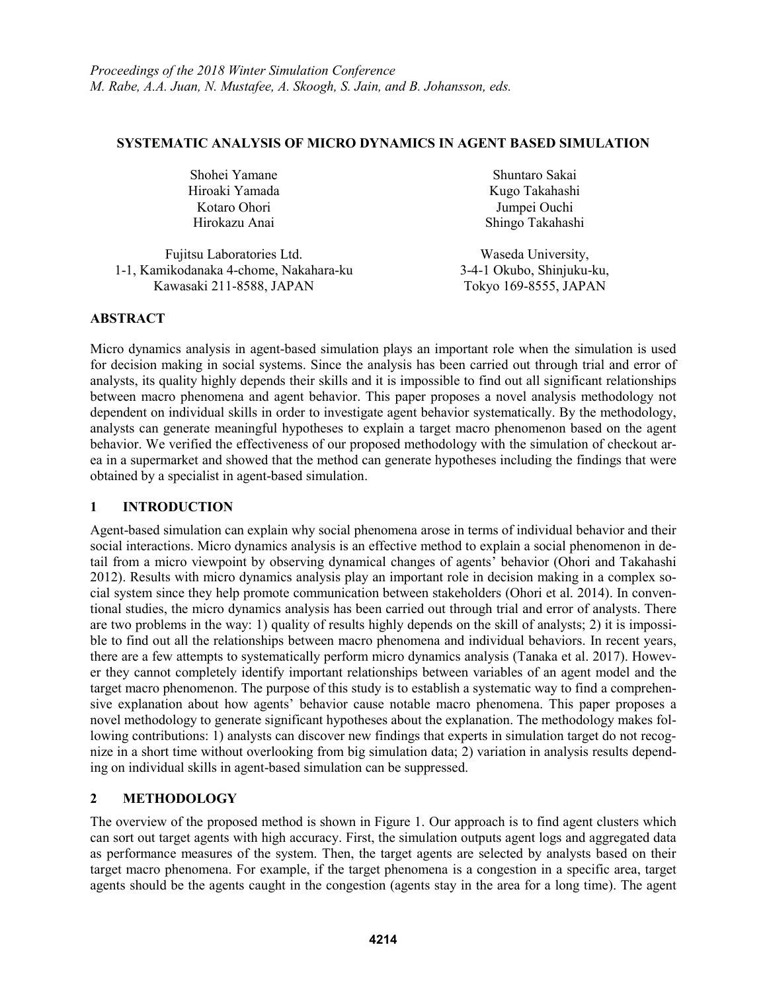## **SYSTEMATIC ANALYSIS OF MICRO DYNAMICS IN AGENT BASED SIMULATION**

| Shohei Yamane  | Shuntaro Sakai   |
|----------------|------------------|
| Hiroaki Yamada | Kugo Takahashi   |
| Kotaro Ohori   | Jumpei Ouchi     |
| Hirokazu Anai  | Shingo Takahashi |
|                |                  |

Fujitsu Laboratories Ltd. Waseda University, 1-1, Kamikodanaka 4-chome, Nakahara-ku 3-4-1 Okubo, Shinjuku-ku, Kawasaki 211-8588, JAPAN Tokyo 169-8555, JAPAN

## **ABSTRACT**

Micro dynamics analysis in agent-based simulation plays an important role when the simulation is used for decision making in social systems. Since the analysis has been carried out through trial and error of analysts, its quality highly depends their skills and it is impossible to find out all significant relationships between macro phenomena and agent behavior. This paper proposes a novel analysis methodology not dependent on individual skills in order to investigate agent behavior systematically. By the methodology, analysts can generate meaningful hypotheses to explain a target macro phenomenon based on the agent behavior. We verified the effectiveness of our proposed methodology with the simulation of checkout area in a supermarket and showed that the method can generate hypotheses including the findings that were obtained by a specialist in agent-based simulation.

# **1 INTRODUCTION**

Agent-based simulation can explain why social phenomena arose in terms of individual behavior and their social interactions. Micro dynamics analysis is an effective method to explain a social phenomenon in detail from a micro viewpoint by observing dynamical changes of agents' behavior (Ohori and Takahashi 2012). Results with micro dynamics analysis play an important role in decision making in a complex social system since they help promote communication between stakeholders (Ohori et al. 2014). In conventional studies, the micro dynamics analysis has been carried out through trial and error of analysts. There are two problems in the way: 1) quality of results highly depends on the skill of analysts; 2) it is impossible to find out all the relationships between macro phenomena and individual behaviors. In recent years, there are a few attempts to systematically perform micro dynamics analysis (Tanaka et al. 2017). However they cannot completely identify important relationships between variables of an agent model and the target macro phenomenon. The purpose of this study is to establish a systematic way to find a comprehensive explanation about how agents' behavior cause notable macro phenomena. This paper proposes a novel methodology to generate significant hypotheses about the explanation. The methodology makes following contributions: 1) analysts can discover new findings that experts in simulation target do not recognize in a short time without overlooking from big simulation data; 2) variation in analysis results depending on individual skills in agent-based simulation can be suppressed.

# **2 METHODOLOGY**

The overview of the proposed method is shown in Figure 1. Our approach is to find agent clusters which can sort out target agents with high accuracy. First, the simulation outputs agent logs and aggregated data as performance measures of the system. Then, the target agents are selected by analysts based on their target macro phenomena. For example, if the target phenomena is a congestion in a specific area, target agents should be the agents caught in the congestion (agents stay in the area for a long time). The agent